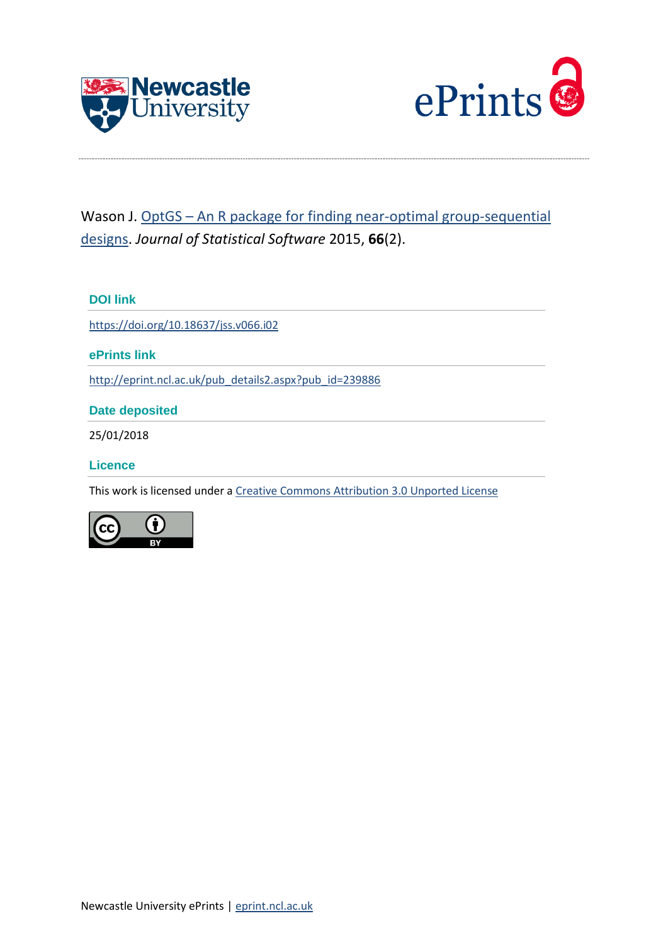



# Wason J. OptGS – An R package for finding near-optimal group-sequential [designs.](http://eprint.ncl.ac.uk/pub_details2.aspx?pub_id=239886) *Journal of Statistical Software* 2015, **66**(2).

# **DOI link**

<https://doi.org/10.18637/jss.v066.i02>

**ePrints link**

[http://eprint.ncl.ac.uk/pub\\_details2.aspx?pub\\_id=239886](http://eprint.ncl.ac.uk/pub_details2.aspx?pub_id=239886)

**Date deposited**

25/01/2018

**Licence**

This work is licensed under a [Creative Commons Attribution 3.0 Unported License](http://creativecommons.org/licenses/by/3.0/)

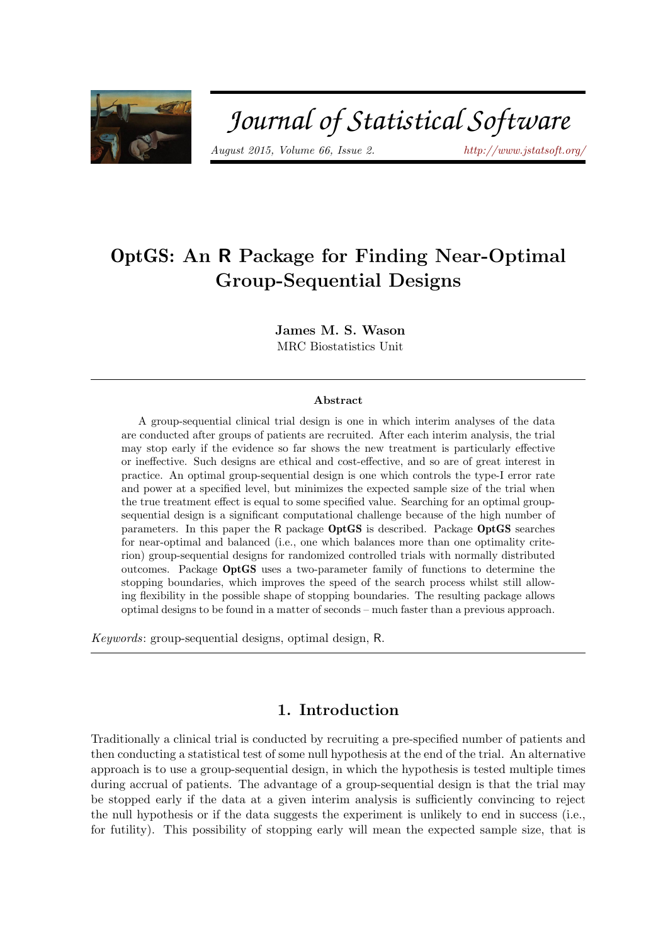

# Journal of Statistical Software

August 2015, Volume 66, Issue 2. <http://www.jstatsoft.org/>

# OptGS: An R Package for Finding Near-Optimal Group-Sequential Designs

James M. S. Wason MRC Biostatistics Unit

#### Abstract

A group-sequential clinical trial design is one in which interim analyses of the data are conducted after groups of patients are recruited. After each interim analysis, the trial may stop early if the evidence so far shows the new treatment is particularly effective or ineffective. Such designs are ethical and cost-effective, and so are of great interest in practice. An optimal group-sequential design is one which controls the type-I error rate and power at a specified level, but minimizes the expected sample size of the trial when the true treatment effect is equal to some specified value. Searching for an optimal groupsequential design is a significant computational challenge because of the high number of parameters. In this paper the R package OptGS is described. Package OptGS searches for near-optimal and balanced (i.e., one which balances more than one optimality criterion) group-sequential designs for randomized controlled trials with normally distributed outcomes. Package OptGS uses a two-parameter family of functions to determine the stopping boundaries, which improves the speed of the search process whilst still allowing flexibility in the possible shape of stopping boundaries. The resulting package allows optimal designs to be found in a matter of seconds – much faster than a previous approach.

Keywords: group-sequential designs, optimal design, R.

# 1. Introduction

Traditionally a clinical trial is conducted by recruiting a pre-specified number of patients and then conducting a statistical test of some null hypothesis at the end of the trial. An alternative approach is to use a group-sequential design, in which the hypothesis is tested multiple times during accrual of patients. The advantage of a group-sequential design is that the trial may be stopped early if the data at a given interim analysis is sufficiently convincing to reject the null hypothesis or if the data suggests the experiment is unlikely to end in success (i.e., for futility). This possibility of stopping early will mean the expected sample size, that is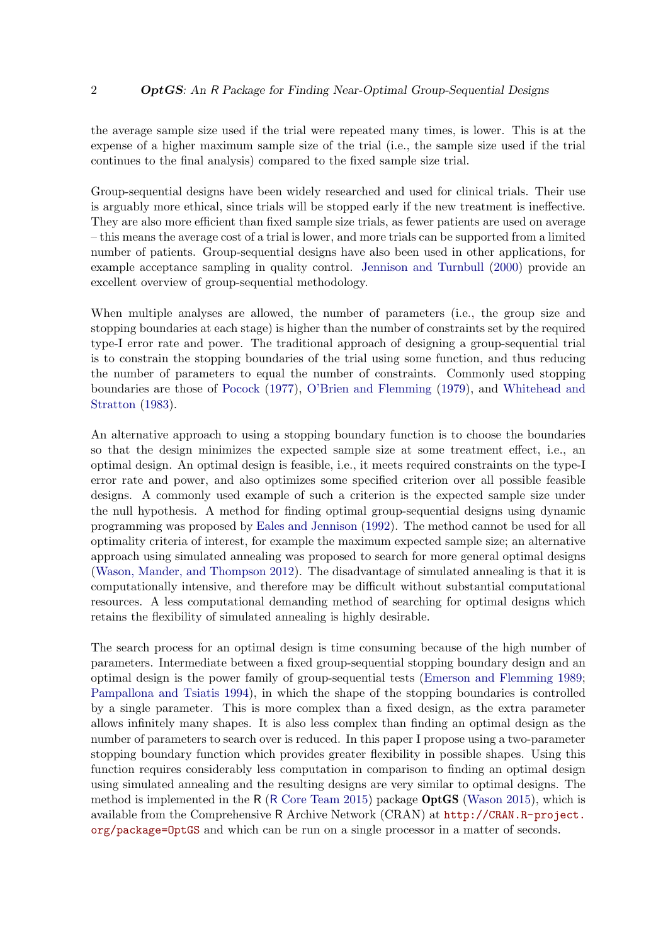the average sample size used if the trial were repeated many times, is lower. This is at the expense of a higher maximum sample size of the trial (i.e., the sample size used if the trial continues to the final analysis) compared to the fixed sample size trial.

Group-sequential designs have been widely researched and used for clinical trials. Their use is arguably more ethical, since trials will be stopped early if the new treatment is ineffective. They are also more efficient than fixed sample size trials, as fewer patients are used on average – this means the average cost of a trial is lower, and more trials can be supported from a limited number of patients. Group-sequential designs have also been used in other applications, for example acceptance sampling in quality control. [Jennison and Turnbull](#page-12-0) [\(2000\)](#page-12-0) provide an excellent overview of group-sequential methodology.

When multiple analyses are allowed, the number of parameters (i.e., the group size and stopping boundaries at each stage) is higher than the number of constraints set by the required type-I error rate and power. The traditional approach of designing a group-sequential trial is to constrain the stopping boundaries of the trial using some function, and thus reducing the number of parameters to equal the number of constraints. Commonly used stopping boundaries are those of [Pocock](#page-12-1) [\(1977\)](#page-12-1), [O'Brien and Flemming](#page-12-2) [\(1979\)](#page-12-2), and [Whitehead and](#page-13-0) [Stratton](#page-13-0) [\(1983\)](#page-13-0).

An alternative approach to using a stopping boundary function is to choose the boundaries so that the design minimizes the expected sample size at some treatment effect, i.e., an optimal design. An optimal design is feasible, i.e., it meets required constraints on the type-I error rate and power, and also optimizes some specified criterion over all possible feasible designs. A commonly used example of such a criterion is the expected sample size under the null hypothesis. A method for finding optimal group-sequential designs using dynamic programming was proposed by [Eales and Jennison](#page-11-0) [\(1992\)](#page-11-0). The method cannot be used for all optimality criteria of interest, for example the maximum expected sample size; an alternative approach using simulated annealing was proposed to search for more general optimal designs [\(Wason, Mander, and Thompson](#page-13-1) [2012\)](#page-13-1). The disadvantage of simulated annealing is that it is computationally intensive, and therefore may be difficult without substantial computational resources. A less computational demanding method of searching for optimal designs which retains the flexibility of simulated annealing is highly desirable.

The search process for an optimal design is time consuming because of the high number of parameters. Intermediate between a fixed group-sequential stopping boundary design and an optimal design is the power family of group-sequential tests [\(Emerson and Flemming](#page-12-3) [1989;](#page-12-3) [Pampallona and Tsiatis](#page-12-4) [1994\)](#page-12-4), in which the shape of the stopping boundaries is controlled by a single parameter. This is more complex than a fixed design, as the extra parameter allows infinitely many shapes. It is also less complex than finding an optimal design as the number of parameters to search over is reduced. In this paper I propose using a two-parameter stopping boundary function which provides greater flexibility in possible shapes. Using this function requires considerably less computation in comparison to finding an optimal design using simulated annealing and the resulting designs are very similar to optimal designs. The method is implemented in the R  $(R$  [Core Team](#page-12-5) [2015\)](#page-12-6) package **OptGS** [\(Wason](#page-12-6) 2015), which is available from the Comprehensive R Archive Network (CRAN) at [http://CRAN.R-project.](http://CRAN.R-project.org/package=OptGS) [org/package=OptGS](http://CRAN.R-project.org/package=OptGS) and which can be run on a single processor in a matter of seconds.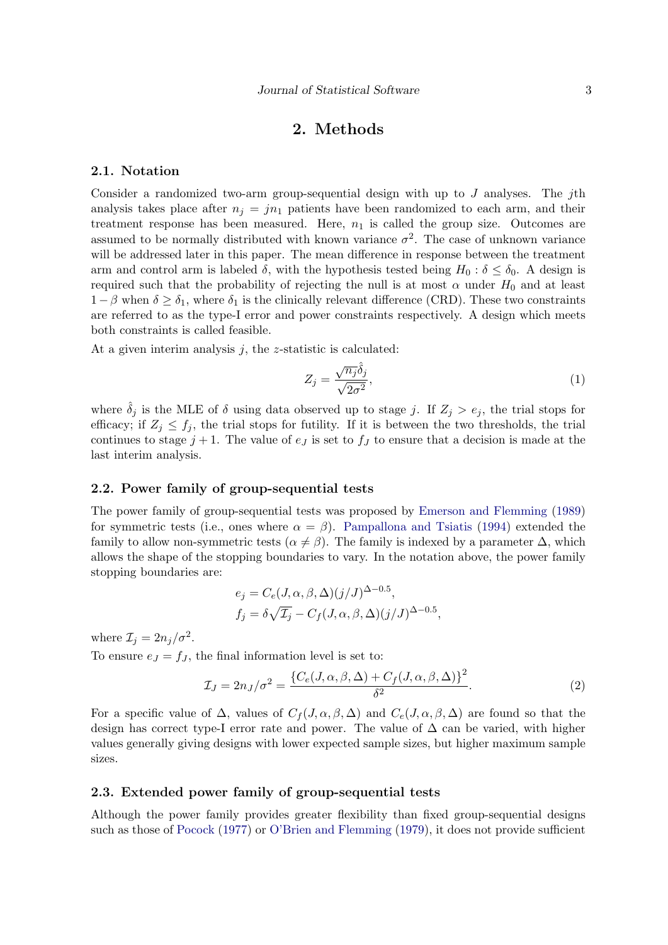# 2. Methods

#### 2.1. Notation

Consider a randomized two-arm group-sequential design with up to  $J$  analyses. The *j*th analysis takes place after  $n_j = jn_1$  patients have been randomized to each arm, and their treatment response has been measured. Here,  $n_1$  is called the group size. Outcomes are assumed to be normally distributed with known variance  $\sigma^2$ . The case of unknown variance will be addressed later in this paper. The mean difference in response between the treatment arm and control arm is labeled  $\delta$ , with the hypothesis tested being  $H_0 : \delta \leq \delta_0$ . A design is required such that the probability of rejecting the null is at most  $\alpha$  under  $H_0$  and at least  $1-\beta$  when  $\delta \geq \delta_1$ , where  $\delta_1$  is the clinically relevant difference (CRD). These two constraints are referred to as the type-I error and power constraints respectively. A design which meets both constraints is called feasible.

At a given interim analysis  $j$ , the *z*-statistic is calculated:

$$
Z_j = \frac{\sqrt{n_j} \hat{\delta}_j}{\sqrt{2\sigma^2}},\tag{1}
$$

where  $\delta_j$  is the MLE of  $\delta$  using data observed up to stage j. If  $Z_j > e_j$ , the trial stops for efficacy; if  $Z_j \leq f_j$ , the trial stops for futility. If it is between the two thresholds, the trial continues to stage  $j + 1$ . The value of  $e_j$  is set to  $f_j$  to ensure that a decision is made at the last interim analysis.

#### 2.2. Power family of group-sequential tests

The power family of group-sequential tests was proposed by [Emerson and Flemming](#page-12-3) [\(1989\)](#page-12-3) for symmetric tests (i.e., ones where  $\alpha = \beta$ ). [Pampallona and Tsiatis](#page-12-4) [\(1994\)](#page-12-4) extended the family to allow non-symmetric tests ( $\alpha \neq \beta$ ). The family is indexed by a parameter  $\Delta$ , which allows the shape of the stopping boundaries to vary. In the notation above, the power family stopping boundaries are:

<span id="page-3-0"></span>
$$
e_j = C_e(J, \alpha, \beta, \Delta)(j/J)^{\Delta - 0.5},
$$
  
\n
$$
f_j = \delta \sqrt{\mathcal{I}_j} - C_f(J, \alpha, \beta, \Delta)(j/J)^{\Delta - 0.5},
$$

where  $\mathcal{I}_j = 2n_j/\sigma^2$ .

To ensure  $e_J = f_J$ , the final information level is set to:

$$
\mathcal{I}_J = 2n_J/\sigma^2 = \frac{\{C_e(J,\alpha,\beta,\Delta) + C_f(J,\alpha,\beta,\Delta)\}^2}{\delta^2}.
$$
\n(2)

For a specific value of  $\Delta$ , values of  $C_f(J,\alpha,\beta,\Delta)$  and  $C_e(J,\alpha,\beta,\Delta)$  are found so that the design has correct type-I error rate and power. The value of  $\Delta$  can be varied, with higher values generally giving designs with lower expected sample sizes, but higher maximum sample sizes.

#### 2.3. Extended power family of group-sequential tests

Although the power family provides greater flexibility than fixed group-sequential designs such as those of [Pocock](#page-12-1) [\(1977\)](#page-12-1) or [O'Brien and Flemming](#page-12-2) [\(1979\)](#page-12-2), it does not provide sufficient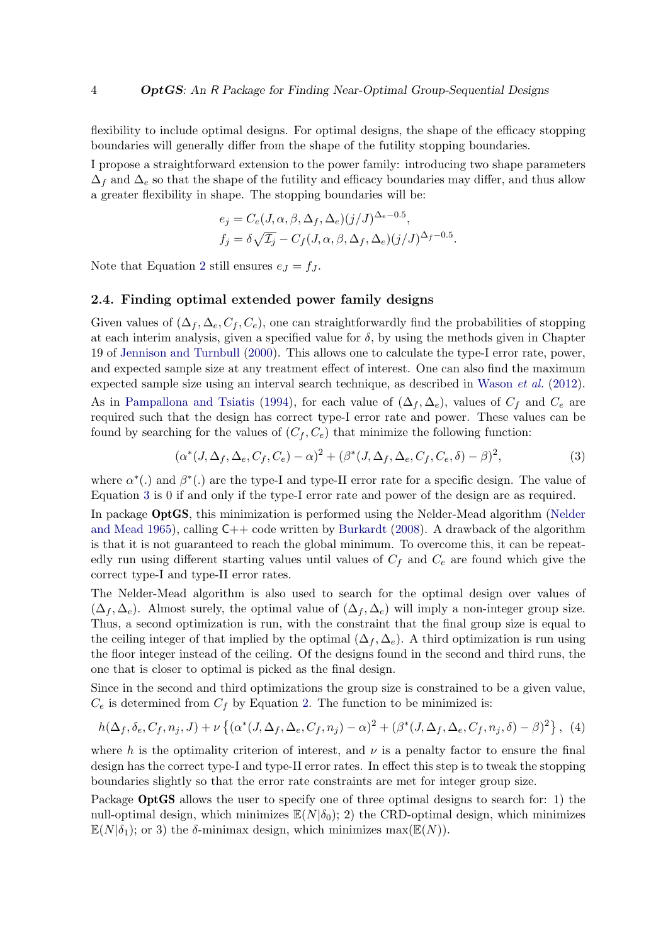flexibility to include optimal designs. For optimal designs, the shape of the efficacy stopping boundaries will generally differ from the shape of the futility stopping boundaries.

I propose a straightforward extension to the power family: introducing two shape parameters  $\Delta_f$  and  $\Delta_e$  so that the shape of the futility and efficacy boundaries may differ, and thus allow a greater flexibility in shape. The stopping boundaries will be:

$$
e_j = C_e(J, \alpha, \beta, \Delta_f, \Delta_e)(j/J)^{\Delta_e - 0.5},
$$
  
\n
$$
f_j = \delta \sqrt{\mathcal{I}_j} - C_f(J, \alpha, \beta, \Delta_f, \Delta_e)(j/J)^{\Delta_f - 0.5}.
$$

Note that Equation [2](#page-3-0) still ensures  $e_J = f_J$ .

#### <span id="page-4-1"></span>2.4. Finding optimal extended power family designs

Given values of  $(\Delta_f, \Delta_e, C_f, C_e)$ , one can straightforwardly find the probabilities of stopping at each interim analysis, given a specified value for  $\delta$ , by using the methods given in Chapter 19 of [Jennison and Turnbull](#page-12-0) [\(2000\)](#page-12-0). This allows one to calculate the type-I error rate, power, and expected sample size at any treatment effect of interest. One can also find the maximum expected sample size using an interval search technique, as described in [Wason](#page-13-1) et al. [\(2012\)](#page-13-1).

As in [Pampallona and Tsiatis](#page-12-4) [\(1994\)](#page-12-4), for each value of  $(\Delta_f, \Delta_e)$ , values of  $C_f$  and  $C_e$  are required such that the design has correct type-I error rate and power. These values can be found by searching for the values of  $(C_f, C_e)$  that minimize the following function:

<span id="page-4-0"></span>
$$
(\alpha^*(J,\Delta_f,\Delta_e,C_f,C_e) - \alpha)^2 + (\beta^*(J,\Delta_f,\Delta_e,C_f,C_e,\delta) - \beta)^2,
$$
\n(3)

where  $\alpha^*$ (.) and  $\beta^*$ (.) are the type-I and type-II error rate for a specific design. The value of Equation [3](#page-4-0) is 0 if and only if the type-I error rate and power of the design are as required.

In package OptGS, this minimization is performed using the Nelder-Mead algorithm [\(Nelder](#page-12-7) [and Mead](#page-12-7) [1965\)](#page-12-7), calling  $C_{++}$  code written by [Burkardt](#page-11-1) [\(2008\)](#page-11-1). A drawback of the algorithm is that it is not guaranteed to reach the global minimum. To overcome this, it can be repeatedly run using different starting values until values of  $C_f$  and  $C_e$  are found which give the correct type-I and type-II error rates.

The Nelder-Mead algorithm is also used to search for the optimal design over values of  $(\Delta_f, \Delta_e)$ . Almost surely, the optimal value of  $(\Delta_f, \Delta_e)$  will imply a non-integer group size. Thus, a second optimization is run, with the constraint that the final group size is equal to the ceiling integer of that implied by the optimal  $(\Delta_f, \Delta_e)$ . A third optimization is run using the floor integer instead of the ceiling. Of the designs found in the second and third runs, the one that is closer to optimal is picked as the final design.

Since in the second and third optimizations the group size is constrained to be a given value,  $C_e$  is determined from  $C_f$  by Equation [2.](#page-3-0) The function to be minimized is:

$$
h(\Delta_f, \delta_e, C_f, n_j, J) + \nu \left\{ (\alpha^*(J, \Delta_f, \Delta_e, C_f, n_j) - \alpha)^2 + (\beta^*(J, \Delta_f, \Delta_e, C_f, n_j, \delta) - \beta)^2 \right\}, (4)
$$

where h is the optimality criterion of interest, and  $\nu$  is a penalty factor to ensure the final design has the correct type-I and type-II error rates. In effect this step is to tweak the stopping boundaries slightly so that the error rate constraints are met for integer group size.

Package OptGS allows the user to specify one of three optimal designs to search for: 1) the null-optimal design, which minimizes  $\mathbb{E}(N|\delta_0)$ ; 2) the CRD-optimal design, which minimizes  $\mathbb{E}(N|\delta_1)$ ; or 3) the  $\delta$ -minimax design, which minimizes max( $\mathbb{E}(N)$ ).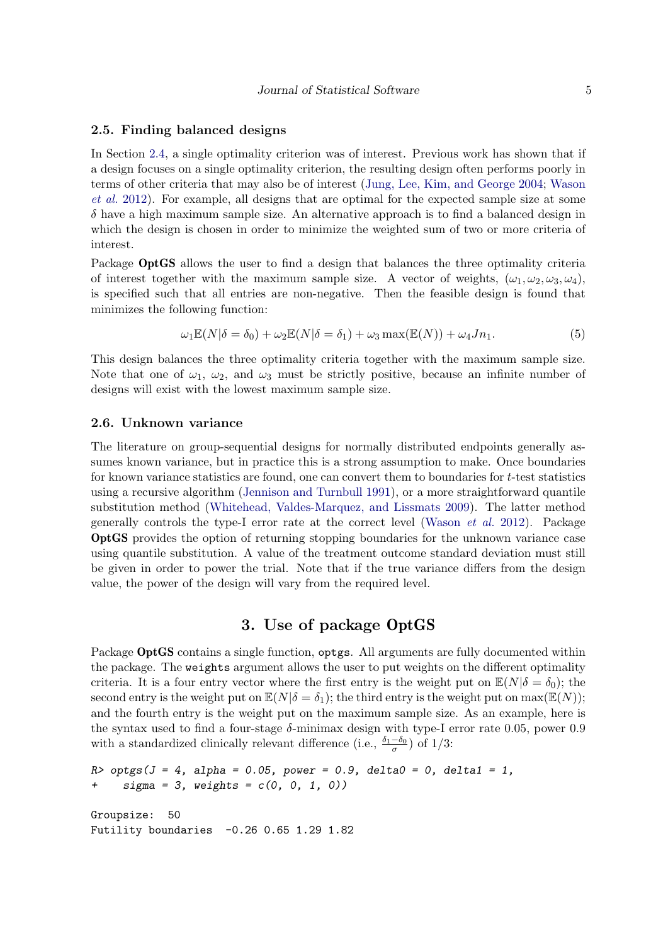#### 2.5. Finding balanced designs

In Section [2.4,](#page-4-1) a single optimality criterion was of interest. Previous work has shown that if a design focuses on a single optimality criterion, the resulting design often performs poorly in terms of other criteria that may also be of interest [\(Jung, Lee, Kim, and George](#page-12-8) [2004;](#page-12-8) [Wason](#page-13-1) [et al.](#page-13-1) [2012\)](#page-13-1). For example, all designs that are optimal for the expected sample size at some  $\delta$  have a high maximum sample size. An alternative approach is to find a balanced design in which the design is chosen in order to minimize the weighted sum of two or more criteria of interest.

Package OptGS allows the user to find a design that balances the three optimality criteria of interest together with the maximum sample size. A vector of weights,  $(\omega_1, \omega_2, \omega_3, \omega_4)$ , is specified such that all entries are non-negative. Then the feasible design is found that minimizes the following function:

<span id="page-5-1"></span>
$$
\omega_1 \mathbb{E}(N|\delta = \delta_0) + \omega_2 \mathbb{E}(N|\delta = \delta_1) + \omega_3 \max(\mathbb{E}(N)) + \omega_4 J n_1.
$$
 (5)

This design balances the three optimality criteria together with the maximum sample size. Note that one of  $\omega_1$ ,  $\omega_2$ , and  $\omega_3$  must be strictly positive, because an infinite number of designs will exist with the lowest maximum sample size.

#### <span id="page-5-0"></span>2.6. Unknown variance

The literature on group-sequential designs for normally distributed endpoints generally assumes known variance, but in practice this is a strong assumption to make. Once boundaries for known variance statistics are found, one can convert them to boundaries for  $t$ -test statistics using a recursive algorithm [\(Jennison and Turnbull](#page-12-9) [1991\)](#page-12-9), or a more straightforward quantile substitution method [\(Whitehead, Valdes-Marquez, and Lissmats](#page-13-2) [2009\)](#page-13-2). The latter method generally controls the type-I error rate at the correct level [\(Wason](#page-13-1) et al. [2012\)](#page-13-1). Package OptGS provides the option of returning stopping boundaries for the unknown variance case using quantile substitution. A value of the treatment outcome standard deviation must still be given in order to power the trial. Note that if the true variance differs from the design value, the power of the design will vary from the required level.

# 3. Use of package OptGS

Package **OptGS** contains a single function, optgs. All arguments are fully documented within the package. The weights argument allows the user to put weights on the different optimality criteria. It is a four entry vector where the first entry is the weight put on  $\mathbb{E}(N|\delta=\delta_0)$ ; the second entry is the weight put on  $\mathbb{E}(N|\delta=\delta_1)$ ; the third entry is the weight put on max $(\mathbb{E}(N))$ ; and the fourth entry is the weight put on the maximum sample size. As an example, here is the syntax used to find a four-stage  $\delta$ -minimax design with type-I error rate 0.05, power 0.9 with a standardized clinically relevant difference (i.e.,  $\frac{\delta_1-\delta_0}{\sigma}$ ) of 1/3:

```
R > optgs(J = 4, alpha = 0.05, power = 0.9, delta0 = 0, delta1 = 1,
+ sigma = 3, weights = c(0, 0, 1, 0))
Groupsize: 50
Futility boundaries -0.26 0.65 1.29 1.82
```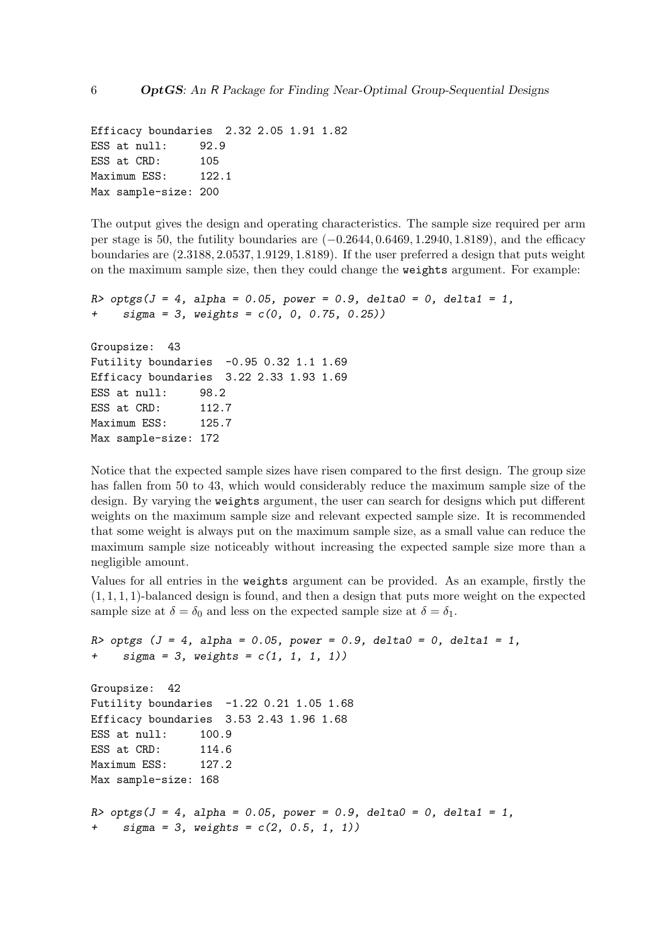Efficacy boundaries 2.32 2.05 1.91 1.82 ESS at null: 92.9 ESS at CRD: 105 Maximum ESS: 122.1 Max sample-size: 200

The output gives the design and operating characteristics. The sample size required per arm per stage is 50, the futility boundaries are  $(-0.2644, 0.6469, 1.2940, 1.8189)$ , and the efficacy boundaries are (2.3188, 2.0537, 1.9129, 1.8189). If the user preferred a design that puts weight on the maximum sample size, then they could change the weights argument. For example:

```
R > optgs(J = 4, alpha = 0.05, power = 0.9, delta0 = 0, delta1 = 1,
     sigma = 3, weights = c(0, 0, 0.75, 0.25)Groupsize: 43
Futility boundaries -0.95 0.32 1.1 1.69
Efficacy boundaries 3.22 2.33 1.93 1.69
ESS at null: 98.2
ESS at CRD: 112.7
Maximum ESS: 125.7
Max sample-size: 172
```
Notice that the expected sample sizes have risen compared to the first design. The group size has fallen from 50 to 43, which would considerably reduce the maximum sample size of the design. By varying the weights argument, the user can search for designs which put different weights on the maximum sample size and relevant expected sample size. It is recommended that some weight is always put on the maximum sample size, as a small value can reduce the maximum sample size noticeably without increasing the expected sample size more than a negligible amount.

Values for all entries in the weights argument can be provided. As an example, firstly the  $(1, 1, 1, 1)$ -balanced design is found, and then a design that puts more weight on the expected sample size at  $\delta = \delta_0$  and less on the expected sample size at  $\delta = \delta_1$ .

```
R > optgs (J = 4, alpha = 0.05, power = 0.9, delta0 = 0, delta1 = 1,
+ sigma = 3, weights = c(1, 1, 1, 1))
Groupsize: 42
Futility boundaries -1.22 0.21 1.05 1.68
Efficacy boundaries 3.53 2.43 1.96 1.68
ESS at null: 100.9
ESS at CRD: 114.6
Maximum ESS: 127.2
Max sample-size: 168
R > optgs(J = 4, alpha = 0.05, power = 0.9, delta0 = 0, delta1 = 1,
    sigma = 3, weights = c(2, 0.5, 1, 1))
```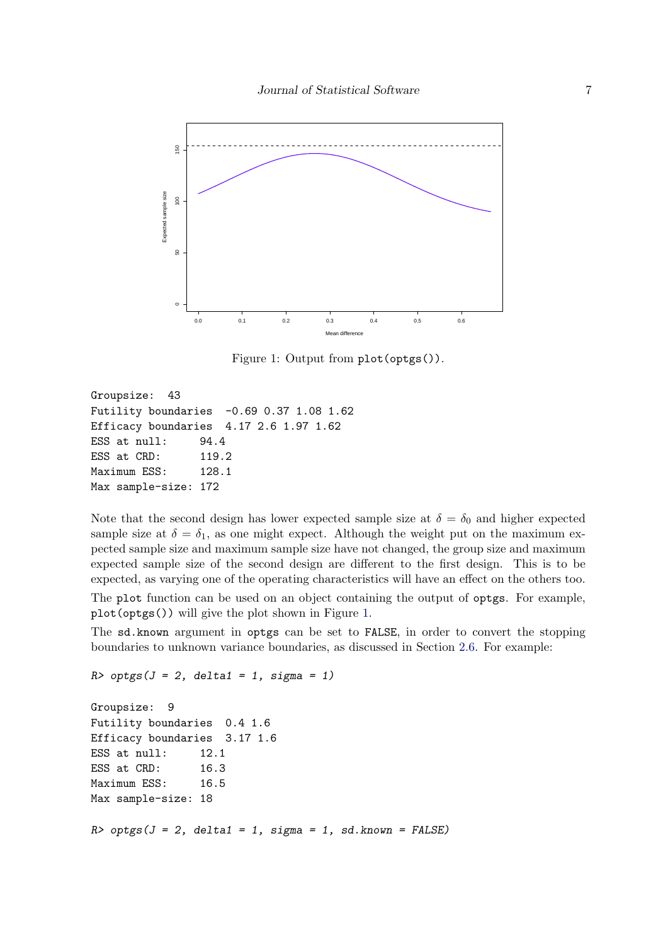

<span id="page-7-0"></span>Figure 1: Output from plot(optgs()).

Groupsize: 43 Futility boundaries -0.69 0.37 1.08 1.62 Efficacy boundaries 4.17 2.6 1.97 1.62 ESS at null: 94.4 ESS at CRD: 119.2 Maximum ESS: 128.1 Max sample-size: 172

Note that the second design has lower expected sample size at  $\delta = \delta_0$  and higher expected sample size at  $\delta = \delta_1$ , as one might expect. Although the weight put on the maximum expected sample size and maximum sample size have not changed, the group size and maximum expected sample size of the second design are different to the first design. This is to be expected, as varying one of the operating characteristics will have an effect on the others too. The plot function can be used on an object containing the output of optgs. For example, plot(optgs()) will give the plot shown in Figure [1.](#page-7-0)

The sd.known argument in optgs can be set to FALSE, in order to convert the stopping boundaries to unknown variance boundaries, as discussed in Section [2.6.](#page-5-0) For example:

```
R> optgs(J = 2, delta1 = 1, sigma = 1)
```

```
Groupsize: 9
Futility boundaries 0.4 1.6
Efficacy boundaries 3.17 1.6
ESS at null: 12.1
ESS at CRD: 16.3
Maximum ESS: 16.5
Max sample-size: 18
R> optgs(J = 2, delta1 = 1, sigma = 1, sd.known = FALSE)
```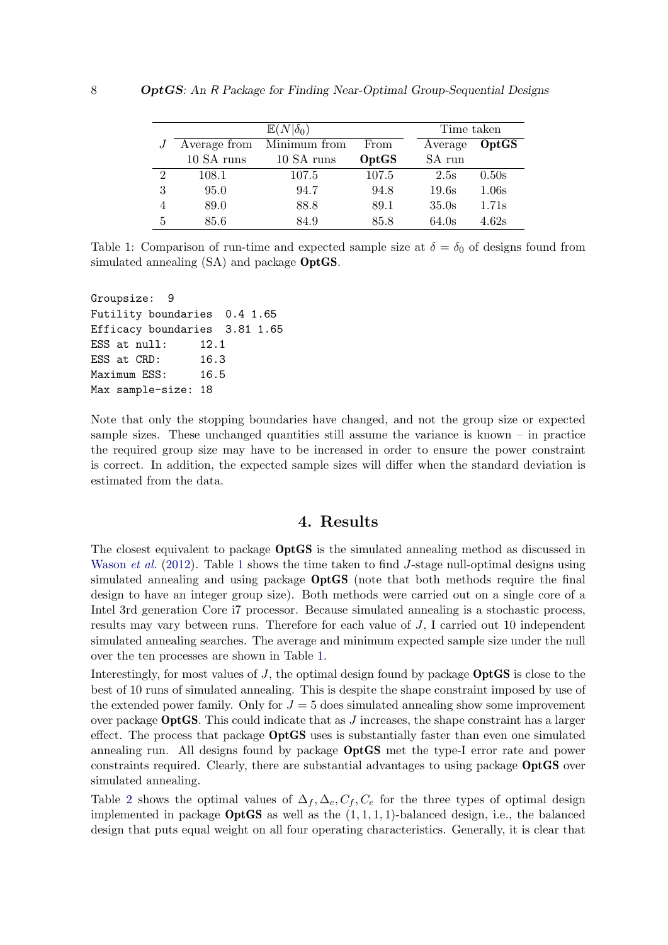|                |              | Time taken   |       |         |       |
|----------------|--------------|--------------|-------|---------|-------|
|                | Average from | Minimum from | From  | Average | OptGS |
|                | 10 SA runs   | 10 SA runs   | OptGS | SA run  |       |
| $\overline{2}$ | 108.1        | 107.5        | 107.5 | 2.5s    | 0.50s |
| 3              | 95.0         | 94.7         | 94.8  | 19.6s   | 1.06s |
| 4              | 89.0         | 88.8         | 89.1  | 35.0s   | 1.71s |
| 5              | 85.6         | 84.9         | 85.8  | 64.0s   | 4.62s |

<span id="page-8-0"></span>Table 1: Comparison of run-time and expected sample size at  $\delta = \delta_0$  of designs found from simulated annealing  $(SA)$  and package **OptGS**.

Groupsize: 9 Futility boundaries 0.4 1.65 Efficacy boundaries 3.81 1.65 ESS at null: 12.1 ESS at CRD: 16.3 Maximum ESS: 16.5 Max sample-size: 18

Note that only the stopping boundaries have changed, and not the group size or expected sample sizes. These unchanged quantities still assume the variance is known  $-$  in practice the required group size may have to be increased in order to ensure the power constraint is correct. In addition, the expected sample sizes will differ when the standard deviation is estimated from the data.

## 4. Results

The closest equivalent to package OptGS is the simulated annealing method as discussed in [Wason](#page-13-1) *et al.* [\(2012\)](#page-13-1). Table [1](#page-8-0) shows the time taken to find J-stage null-optimal designs using simulated annealing and using package OptGS (note that both methods require the final design to have an integer group size). Both methods were carried out on a single core of a Intel 3rd generation Core i7 processor. Because simulated annealing is a stochastic process, results may vary between runs. Therefore for each value of J, I carried out 10 independent simulated annealing searches. The average and minimum expected sample size under the null over the ten processes are shown in Table [1.](#page-8-0)

Interestingly, for most values of  $J$ , the optimal design found by package **OptGS** is close to the best of 10 runs of simulated annealing. This is despite the shape constraint imposed by use of the extended power family. Only for  $J = 5$  does simulated annealing show some improvement over package **OptGS**. This could indicate that as  $J$  increases, the shape constraint has a larger effect. The process that package OptGS uses is substantially faster than even one simulated annealing run. All designs found by package OptGS met the type-I error rate and power constraints required. Clearly, there are substantial advantages to using package OptGS over simulated annealing.

Table [2](#page-9-0) shows the optimal values of  $\Delta_f$ ,  $\Delta_e$ ,  $C_f$ ,  $C_e$  for the three types of optimal design implemented in package  $OptGS$  as well as the  $(1, 1, 1, 1)$ -balanced design, i.e., the balanced design that puts equal weight on all four operating characteristics. Generally, it is clear that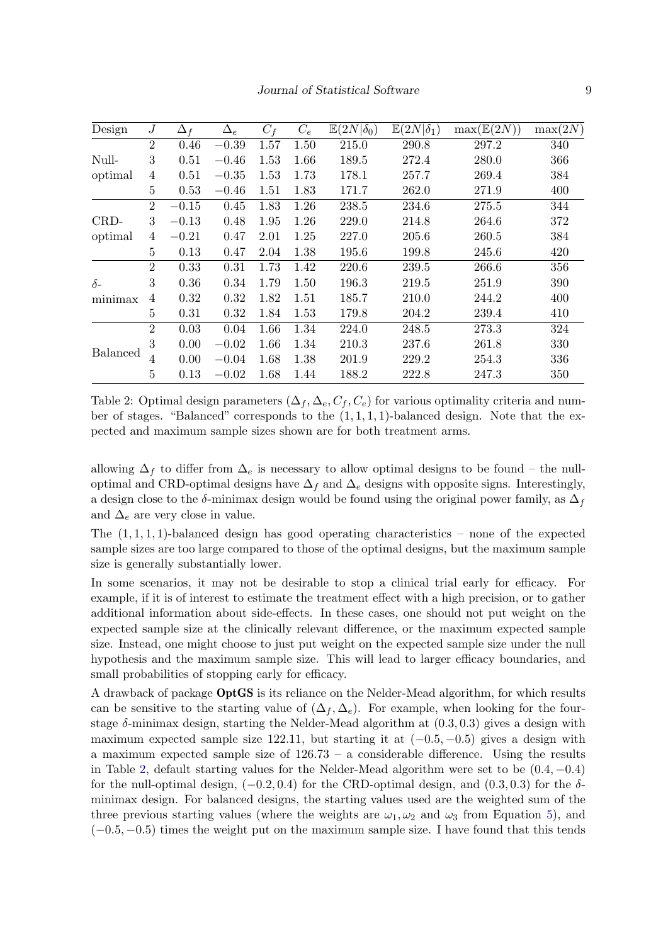| Design          | $\boldsymbol{J}$ | $\Delta_f$ | $\Delta_e$ | $C_f$ | $C_e$ | $\mathbb{E}(2N \delta_0)$ | $\overline{\mathbb{E}}(2N \delta_1)$ | $\max(\mathbb{E}(2N))$ | max(2N) |
|-----------------|------------------|------------|------------|-------|-------|---------------------------|--------------------------------------|------------------------|---------|
|                 | $\overline{2}$   | 0.46       | $-0.39$    | 1.57  | 1.50  | 215.0                     | 290.8                                | 297.2                  | 340     |
| Null-           | 3                | 0.51       | $-0.46$    | 1.53  | 1.66  | 189.5                     | 272.4                                | 280.0                  | 366     |
| optimal         | 4                | 0.51       | $-0.35$    | 1.53  | 1.73  | 178.1                     | 257.7                                | 269.4                  | 384     |
|                 | $\overline{5}$   | 0.53       | $-0.46$    | 1.51  | 1.83  | 171.7                     | 262.0                                | 271.9                  | 400     |
|                 | $\overline{2}$   | $-0.15$    | 0.45       | 1.83  | 1.26  | 238.5                     | 234.6                                | 275.5                  | 344     |
| CRD-            | 3                | $-0.13$    | 0.48       | 1.95  | 1.26  | 229.0                     | 214.8                                | 264.6                  | 372     |
| optimal         | 4                | $-0.21$    | 0.47       | 2.01  | 1.25  | 227.0                     | 205.6                                | 260.5                  | 384     |
|                 | $\overline{5}$   | 0.13       | 0.47       | 2.04  | 1.38  | 195.6                     | 199.8                                | 245.6                  | 420     |
|                 | $\overline{2}$   | 0.33       | 0.31       | 1.73  | 1.42  | 220.6                     | 239.5                                | 266.6                  | 356     |
| $\delta$ -      | 3                | 0.36       | 0.34       | 1.79  | 1.50  | 196.3                     | 219.5                                | 251.9                  | 390     |
| minimax         | 4                | 0.32       | 0.32       | 1.82  | 1.51  | 185.7                     | 210.0                                | 244.2                  | 400     |
|                 | 5                | 0.31       | 0.32       | 1.84  | 1.53  | 179.8                     | 204.2                                | 239.4                  | 410     |
|                 | $\overline{2}$   | 0.03       | 0.04       | 1.66  | 1.34  | 224.0                     | 248.5                                | 273.3                  | 324     |
|                 | 3                | 0.00       | $-0.02$    | 1.66  | 1.34  | 210.3                     | 237.6                                | 261.8                  | 330     |
| <b>Balanced</b> | $\overline{4}$   | 0.00       | $-0.04$    | 1.68  | 1.38  | 201.9                     | 229.2                                | 254.3                  | 336     |
|                 | 5                | 0.13       | $-0.02$    | 1.68  | 1.44  | 188.2                     | 222.8                                | 247.3                  | 350     |

<span id="page-9-0"></span>Table 2: Optimal design parameters  $(\Delta_f, \Delta_e, C_f, C_e)$  for various optimality criteria and number of stages. "Balanced" corresponds to the  $(1, 1, 1, 1)$ -balanced design. Note that the expected and maximum sample sizes shown are for both treatment arms.

allowing  $\Delta_f$  to differ from  $\Delta_e$  is necessary to allow optimal designs to be found – the nulloptimal and CRD-optimal designs have  $\Delta_f$  and  $\Delta_e$  designs with opposite signs. Interestingly, a design close to the  $\delta$ -minimax design would be found using the original power family, as  $\Delta_f$ and  $\Delta_e$  are very close in value.

The  $(1, 1, 1, 1)$ -balanced design has good operating characteristics – none of the expected sample sizes are too large compared to those of the optimal designs, but the maximum sample size is generally substantially lower.

In some scenarios, it may not be desirable to stop a clinical trial early for efficacy. For example, if it is of interest to estimate the treatment effect with a high precision, or to gather additional information about side-effects. In these cases, one should not put weight on the expected sample size at the clinically relevant difference, or the maximum expected sample size. Instead, one might choose to just put weight on the expected sample size under the null hypothesis and the maximum sample size. This will lead to larger efficacy boundaries, and small probabilities of stopping early for efficacy.

A drawback of package OptGS is its reliance on the Nelder-Mead algorithm, for which results can be sensitive to the starting value of  $(\Delta_f, \Delta_e)$ . For example, when looking for the fourstage  $\delta$ -minimax design, starting the Nelder-Mead algorithm at  $(0.3, 0.3)$  gives a design with maximum expected sample size 122.11, but starting it at  $(-0.5, -0.5)$  gives a design with a maximum expected sample size of 126.73 – a considerable difference. Using the results in Table [2,](#page-9-0) default starting values for the Nelder-Mead algorithm were set to be  $(0.4, -0.4)$ for the null-optimal design,  $(-0.2, 0.4)$  for the CRD-optimal design, and  $(0.3, 0.3)$  for the  $\delta$ minimax design. For balanced designs, the starting values used are the weighted sum of the three previous starting values (where the weights are  $\omega_1, \omega_2$  and  $\omega_3$  from Equation [5\)](#page-5-1), and  $(-0.5, -0.5)$  times the weight put on the maximum sample size. I have found that this tends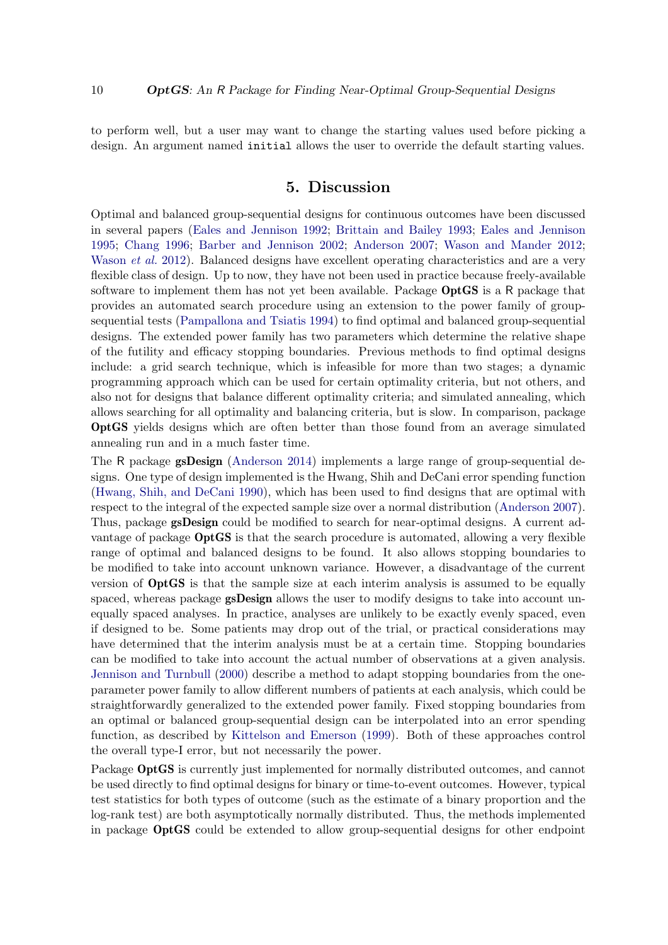to perform well, but a user may want to change the starting values used before picking a design. An argument named initial allows the user to override the default starting values.

# 5. Discussion

Optimal and balanced group-sequential designs for continuous outcomes have been discussed in several papers [\(Eales and Jennison](#page-11-0) [1992;](#page-11-0) [Brittain and Bailey](#page-11-2) [1993;](#page-11-2) [Eales and Jennison](#page-12-10) [1995;](#page-12-10) [Chang](#page-11-3) [1996;](#page-11-3) [Barber and Jennison](#page-11-4) [2002;](#page-11-4) [Anderson](#page-11-5) [2007;](#page-11-5) [Wason and Mander](#page-13-3) [2012;](#page-13-3) [Wason](#page-13-1) *et al.* [2012\)](#page-13-1). Balanced designs have excellent operating characteristics and are a very flexible class of design. Up to now, they have not been used in practice because freely-available software to implement them has not yet been available. Package  $OptGS$  is a R package that provides an automated search procedure using an extension to the power family of groupsequential tests [\(Pampallona and Tsiatis](#page-12-4) [1994\)](#page-12-4) to find optimal and balanced group-sequential designs. The extended power family has two parameters which determine the relative shape of the futility and efficacy stopping boundaries. Previous methods to find optimal designs include: a grid search technique, which is infeasible for more than two stages; a dynamic programming approach which can be used for certain optimality criteria, but not others, and also not for designs that balance different optimality criteria; and simulated annealing, which allows searching for all optimality and balancing criteria, but is slow. In comparison, package OptGS yields designs which are often better than those found from an average simulated annealing run and in a much faster time.

The R package **gsDesign** [\(Anderson](#page-11-6) [2014\)](#page-11-6) implements a large range of group-sequential designs. One type of design implemented is the Hwang, Shih and DeCani error spending function [\(Hwang, Shih, and DeCani](#page-12-11) [1990\)](#page-12-11), which has been used to find designs that are optimal with respect to the integral of the expected sample size over a normal distribution [\(Anderson](#page-11-5) [2007\)](#page-11-5). Thus, package gsDesign could be modified to search for near-optimal designs. A current advantage of package **OptGS** is that the search procedure is automated, allowing a very flexible range of optimal and balanced designs to be found. It also allows stopping boundaries to be modified to take into account unknown variance. However, a disadvantage of the current version of OptGS is that the sample size at each interim analysis is assumed to be equally spaced, whereas package **gsDesign** allows the user to modify designs to take into account unequally spaced analyses. In practice, analyses are unlikely to be exactly evenly spaced, even if designed to be. Some patients may drop out of the trial, or practical considerations may have determined that the interim analysis must be at a certain time. Stopping boundaries can be modified to take into account the actual number of observations at a given analysis. [Jennison and Turnbull](#page-12-0) [\(2000\)](#page-12-0) describe a method to adapt stopping boundaries from the oneparameter power family to allow different numbers of patients at each analysis, which could be straightforwardly generalized to the extended power family. Fixed stopping boundaries from an optimal or balanced group-sequential design can be interpolated into an error spending function, as described by [Kittelson and Emerson](#page-12-12) [\(1999\)](#page-12-12). Both of these approaches control the overall type-I error, but not necessarily the power.

Package OptGS is currently just implemented for normally distributed outcomes, and cannot be used directly to find optimal designs for binary or time-to-event outcomes. However, typical test statistics for both types of outcome (such as the estimate of a binary proportion and the log-rank test) are both asymptotically normally distributed. Thus, the methods implemented in package OptGS could be extended to allow group-sequential designs for other endpoint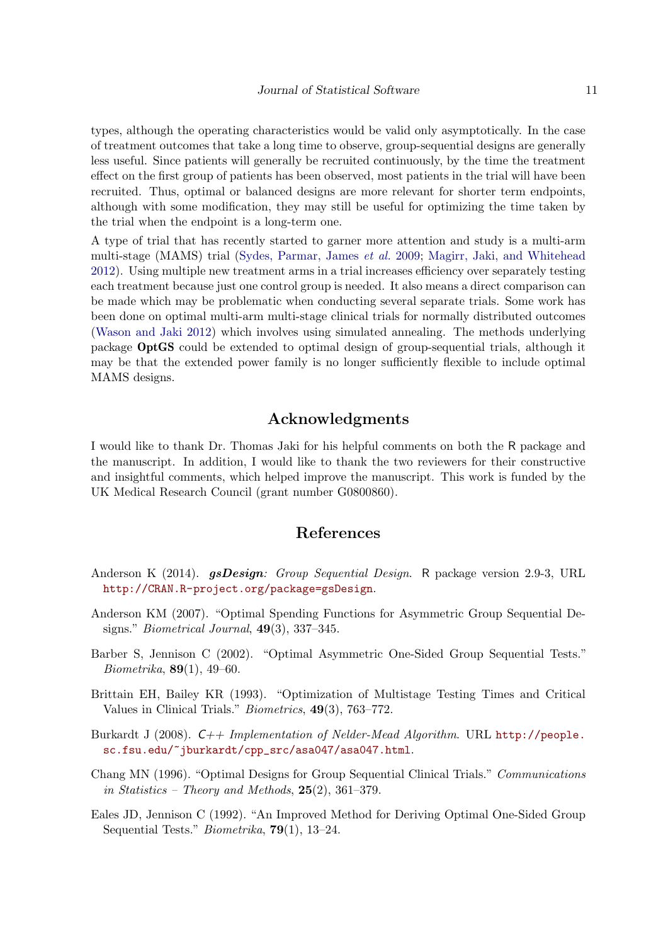types, although the operating characteristics would be valid only asymptotically. In the case of treatment outcomes that take a long time to observe, group-sequential designs are generally less useful. Since patients will generally be recruited continuously, by the time the treatment effect on the first group of patients has been observed, most patients in the trial will have been recruited. Thus, optimal or balanced designs are more relevant for shorter term endpoints, although with some modification, they may still be useful for optimizing the time taken by the trial when the endpoint is a long-term one.

A type of trial that has recently started to garner more attention and study is a multi-arm multi-stage (MAMS) trial [\(Sydes, Parmar, James](#page-12-13) et al. [2009;](#page-12-13) [Magirr, Jaki, and Whitehead](#page-12-14) [2012\)](#page-12-14). Using multiple new treatment arms in a trial increases efficiency over separately testing each treatment because just one control group is needed. It also means a direct comparison can be made which may be problematic when conducting several separate trials. Some work has been done on optimal multi-arm multi-stage clinical trials for normally distributed outcomes [\(Wason and Jaki](#page-12-15) [2012\)](#page-12-15) which involves using simulated annealing. The methods underlying package OptGS could be extended to optimal design of group-sequential trials, although it may be that the extended power family is no longer sufficiently flexible to include optimal MAMS designs.

# Acknowledgments

I would like to thank Dr. Thomas Jaki for his helpful comments on both the R package and the manuscript. In addition, I would like to thank the two reviewers for their constructive and insightful comments, which helped improve the manuscript. This work is funded by the UK Medical Research Council (grant number G0800860).

## References

- <span id="page-11-6"></span>Anderson K (2014). *gsDesign: Group Sequential Design.* R package version 2.9-3, URL <http://CRAN.R-project.org/package=gsDesign>.
- <span id="page-11-5"></span>Anderson KM (2007). "Optimal Spending Functions for Asymmetric Group Sequential Designs." *Biometrical Journal*,  $49(3)$ ,  $337-345$ .
- <span id="page-11-4"></span>Barber S, Jennison C (2002). "Optimal Asymmetric One-Sided Group Sequential Tests."  $Biometrika, 89(1), 49-60.$
- <span id="page-11-2"></span>Brittain EH, Bailey KR (1993). "Optimization of Multistage Testing Times and Critical Values in Clinical Trials." Biometrics, 49(3), 763–772.
- <span id="page-11-1"></span>Burkardt J (2008). C++ Implementation of Nelder-Mead Algorithm. URL [http://people.](http://people.sc.fsu.edu/~jburkardt/cpp_src/asa047/asa047.html) [sc.fsu.edu/~jburkardt/cpp\\_src/asa047/asa047.html](http://people.sc.fsu.edu/~jburkardt/cpp_src/asa047/asa047.html).
- <span id="page-11-3"></span>Chang MN (1996). "Optimal Designs for Group Sequential Clinical Trials." Communications in Statistics – Theory and Methods,  $25(2)$ ,  $361-379$ .
- <span id="page-11-0"></span>Eales JD, Jennison C (1992). "An Improved Method for Deriving Optimal One-Sided Group Sequential Tests." Biometrika, 79(1), 13–24.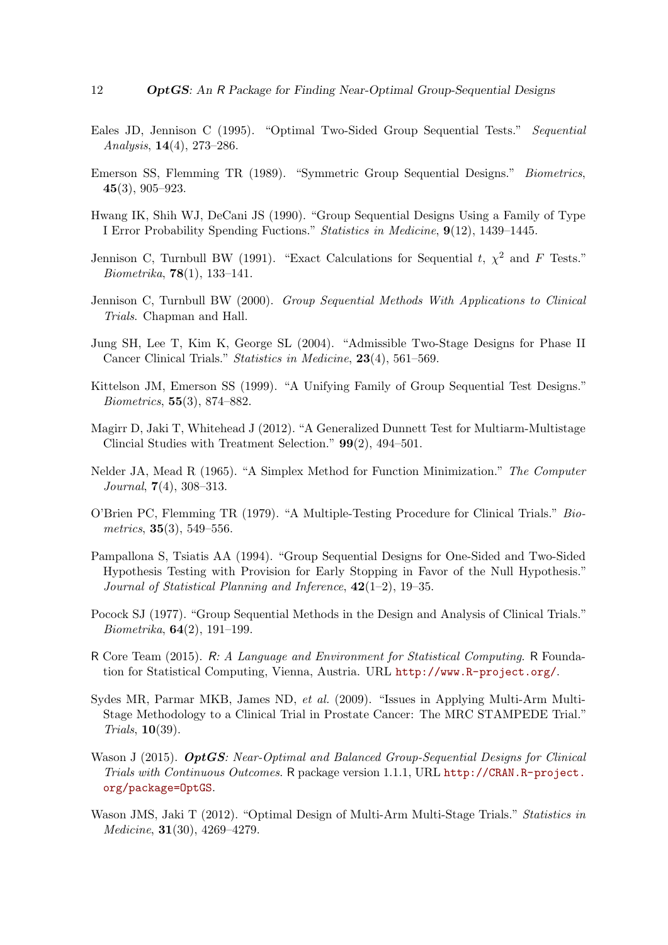- <span id="page-12-10"></span>Eales JD, Jennison C (1995). "Optimal Two-Sided Group Sequential Tests." Sequential Analysis, 14(4), 273–286.
- <span id="page-12-3"></span>Emerson SS, Flemming TR (1989). "Symmetric Group Sequential Designs." Biometrics, 45(3), 905–923.
- <span id="page-12-11"></span>Hwang IK, Shih WJ, DeCani JS (1990). "Group Sequential Designs Using a Family of Type I Error Probability Spending Fuctions." Statistics in Medicine, 9(12), 1439–1445.
- <span id="page-12-9"></span>Jennison C, Turnbull BW (1991). "Exact Calculations for Sequential t,  $\chi^2$  and F Tests." *Biometrika*,  $78(1)$ , 133-141.
- <span id="page-12-0"></span>Jennison C, Turnbull BW (2000). Group Sequential Methods With Applications to Clinical Trials. Chapman and Hall.
- <span id="page-12-8"></span>Jung SH, Lee T, Kim K, George SL (2004). "Admissible Two-Stage Designs for Phase II Cancer Clinical Trials." Statistics in Medicine, 23(4), 561–569.
- <span id="page-12-12"></span>Kittelson JM, Emerson SS (1999). "A Unifying Family of Group Sequential Test Designs." Biometrics, 55(3), 874–882.
- <span id="page-12-14"></span>Magirr D, Jaki T, Whitehead J (2012). "A Generalized Dunnett Test for Multiarm-Multistage Clincial Studies with Treatment Selection." 99(2), 494–501.
- <span id="page-12-7"></span>Nelder JA, Mead R (1965). "A Simplex Method for Function Minimization." The Computer Journal, 7(4), 308–313.
- <span id="page-12-2"></span>O'Brien PC, Flemming TR (1979). "A Multiple-Testing Procedure for Clinical Trials." Biometrics,  $35(3)$ ,  $549-556$ .
- <span id="page-12-4"></span>Pampallona S, Tsiatis AA (1994). "Group Sequential Designs for One-Sided and Two-Sided Hypothesis Testing with Provision for Early Stopping in Favor of the Null Hypothesis." Journal of Statistical Planning and Inference,  $42(1-2)$ , 19-35.
- <span id="page-12-1"></span>Pocock SJ (1977). "Group Sequential Methods in the Design and Analysis of Clinical Trials." *Biometrika*,  $64(2)$ , 191–199.
- <span id="page-12-5"></span>R Core Team (2015). R: A Language and Environment for Statistical Computing. R Foundation for Statistical Computing, Vienna, Austria. URL <http://www.R-project.org/>.
- <span id="page-12-13"></span>Sydes MR, Parmar MKB, James ND, et al. (2009). "Issues in Applying Multi-Arm Multi-Stage Methodology to a Clinical Trial in Prostate Cancer: The MRC STAMPEDE Trial." Trials, 10(39).
- <span id="page-12-6"></span>Wason J (2015). OptGS: Near-Optimal and Balanced Group-Sequential Designs for Clinical Trials with Continuous Outcomes. R package version 1.1.1, URL [http://CRAN.R-project.](http://CRAN.R-project.org/package=OptGS) [org/package=OptGS](http://CRAN.R-project.org/package=OptGS).
- <span id="page-12-15"></span>Wason JMS, Jaki T (2012). "Optimal Design of Multi-Arm Multi-Stage Trials." Statistics in Medicine, 31(30), 4269–4279.